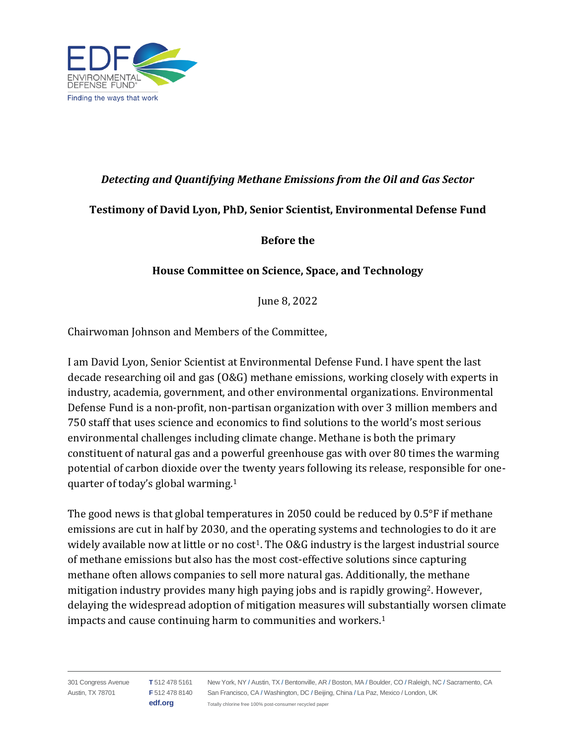

# *Detecting and Quantifying Methane Emissions from the Oil and Gas Sector*

# **Testimony of David Lyon, PhD, Senior Scientist, Environmental Defense Fund**

**Before the**

# **House Committee on Science, Space, and Technology**

June 8, 2022

Chairwoman Johnson and Members of the Committee,

I am David Lyon, Senior Scientist at Environmental Defense Fund. I have spent the last decade researching oil and gas (O&G) methane emissions, working closely with experts in industry, academia, government, and other environmental organizations. Environmental Defense Fund is a non-profit, non-partisan organization with over 3 million members and 750 staff that uses science and economics to find solutions to the world's most serious environmental challenges including climate change. Methane is both the primary constituent of natural gas and a powerful greenhouse gas with over 80 times the warming potential of carbon dioxide over the twenty years following its release, responsible for onequarter of today's global warming.<sup>1</sup>

The good news is that global temperatures in 2050 could be reduced by 0.5°F if methane emissions are cut in half by 2030, and the operating systems and technologies to do it are widely available now at little or no  $cost<sup>1</sup>$ . The  $0&G$  industry is the largest industrial source of methane emissions but also has the most cost-effective solutions since capturing methane often allows companies to sell more natural gas. Additionally, the methane mitigation industry provides many high paying jobs and is rapidly growing<sup>2</sup>. However, delaying the widespread adoption of mitigation measures will substantially worsen climate impacts and cause continuing harm to communities and workers. 1

301 Congress Avenue Austin, TX 78701 **T** 512 478 5161 **F** 512 478 8140 San Francisco, CA / Washington, DC / Beijing, China / La Paz, Mexico / London, UK **edf.org** New York, NY / Austin, TX / Bentonville, AR / Boston, MA / Boulder, CO / Raleigh, NC / Sacramento, CA Totally chlorine free 100% post-consumer recycled paper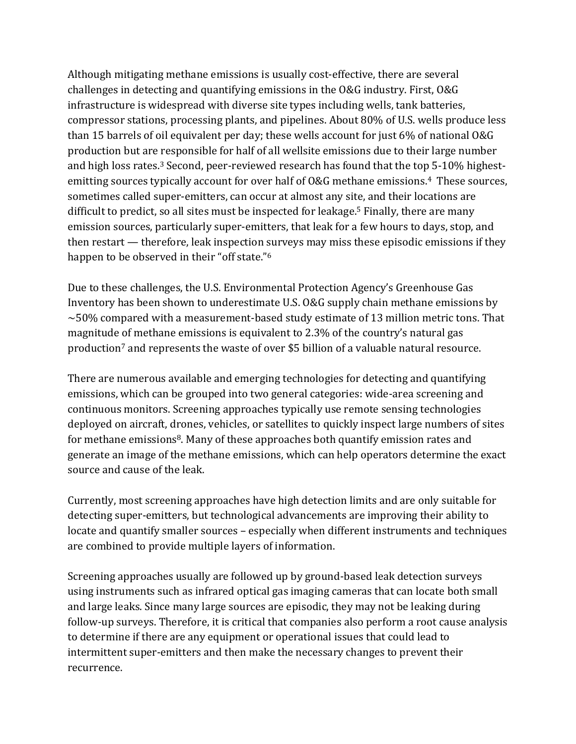Although mitigating methane emissions is usually cost-effective, there are several challenges in detecting and quantifying emissions in the O&G industry. First, O&G infrastructure is widespread with diverse site types including wells, tank batteries, compressor stations, processing plants, and pipelines. About 80% of U.S. wells produce less than 15 barrels of oil equivalent per day; these wells account for just 6% of national O&G production but are responsible for half of all wellsite emissions due to their large number and high loss rates.<sup>3</sup> Second, peer-reviewed research has found that the top 5-10% highestemitting sources typically account for over half of O&G methane emissions.<sup>4</sup> These sources, sometimes called super-emitters, can occur at almost any site, and their locations are difficult to predict, so all sites must be inspected for leakage. <sup>5</sup> Finally, there are many emission sources, particularly super-emitters, that leak for a few hours to days, stop, and then restart — therefore, leak inspection surveys may miss these episodic emissions if they happen to be observed in their "off state." 6

Due to these challenges, the U.S. Environmental Protection Agency's Greenhouse Gas Inventory has been shown to underestimate U.S. O&G supply chain methane emissions by  $\sim$  50% compared with a measurement-based study estimate of 13 million metric tons. That magnitude of methane emissions is equivalent to 2.3% of the country's natural gas production<sup>7</sup> and represents the waste of over \$5 billion of a valuable natural resource.

There are numerous available and emerging technologies for detecting and quantifying emissions, which can be grouped into two general categories: wide-area screening and continuous monitors. Screening approaches typically use remote sensing technologies deployed on aircraft, drones, vehicles, or satellites to quickly inspect large numbers of sites for methane emissions<sup>8</sup>. Many of these approaches both quantify emission rates and generate an image of the methane emissions, which can help operators determine the exact source and cause of the leak.

Currently, most screening approaches have high detection limits and are only suitable for detecting super-emitters, but technological advancements are improving their ability to locate and quantify smaller sources – especially when different instruments and techniques are combined to provide multiple layers of information.

Screening approaches usually are followed up by ground-based leak detection surveys using instruments such as infrared optical gas imaging cameras that can locate both small and large leaks. Since many large sources are episodic, they may not be leaking during follow-up surveys. Therefore, it is critical that companies also perform a root cause analysis to determine if there are any equipment or operational issues that could lead to intermittent super-emitters and then make the necessary changes to prevent their recurrence.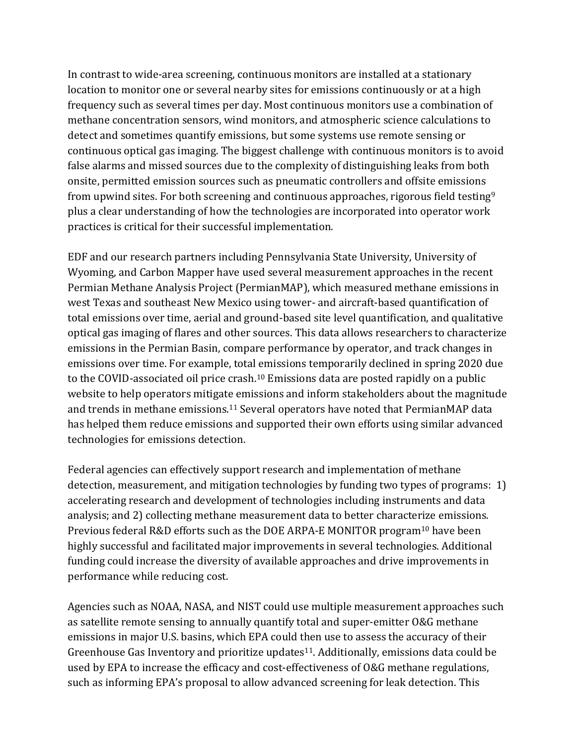In contrast to wide-area screening, continuous monitors are installed at a stationary location to monitor one or several nearby sites for emissions continuously or at a high frequency such as several times per day. Most continuous monitors use a combination of methane concentration sensors, wind monitors, and atmospheric science calculations to detect and sometimes quantify emissions, but some systems use remote sensing or continuous optical gas imaging. The biggest challenge with continuous monitors is to avoid false alarms and missed sources due to the complexity of distinguishing leaks from both onsite, permitted emission sources such as pneumatic controllers and offsite emissions from upwind sites. For both screening and continuous approaches, rigorous field testing<sup>9</sup> plus a clear understanding of how the technologies are incorporated into operator work practices is critical for their successful implementation.

EDF and our research partners including Pennsylvania State University, University of Wyoming, and Carbon Mapper have used several measurement approaches in the recent Permian Methane Analysis Project (PermianMAP), which measured methane emissions in west Texas and southeast New Mexico using tower- and aircraft-based quantification of total emissions over time, aerial and ground-based site level quantification, and qualitative optical gas imaging of flares and other sources. This data allows researchers to characterize emissions in the Permian Basin, compare performance by operator, and track changes in emissions over time. For example, total emissions temporarily declined in spring 2020 due to the COVID-associated oil price crash.<sup>10</sup> Emissions data are posted rapidly on a public website to help operators mitigate emissions and inform stakeholders about the magnitude and trends in methane emissions.<sup>11</sup> Several operators have noted that PermianMAP data has helped them reduce emissions and supported their own efforts using similar advanced technologies for emissions detection.

Federal agencies can effectively support research and implementation of methane detection, measurement, and mitigation technologies by funding two types of programs: 1) accelerating research and development of technologies including instruments and data analysis; and 2) collecting methane measurement data to better characterize emissions. Previous federal R&D efforts such as the DOE ARPA-E MONITOR program<sup>10</sup> have been highly successful and facilitated major improvements in several technologies. Additional funding could increase the diversity of available approaches and drive improvements in performance while reducing cost.

Agencies such as NOAA, NASA, and NIST could use multiple measurement approaches such as satellite remote sensing to annually quantify total and super-emitter O&G methane emissions in major U.S. basins, which EPA could then use to assess the accuracy of their Greenhouse Gas Inventory and prioritize updates<sup>11</sup>. Additionally, emissions data could be used by EPA to increase the efficacy and cost-effectiveness of O&G methane regulations, such as informing EPA's proposal to allow advanced screening for leak detection. This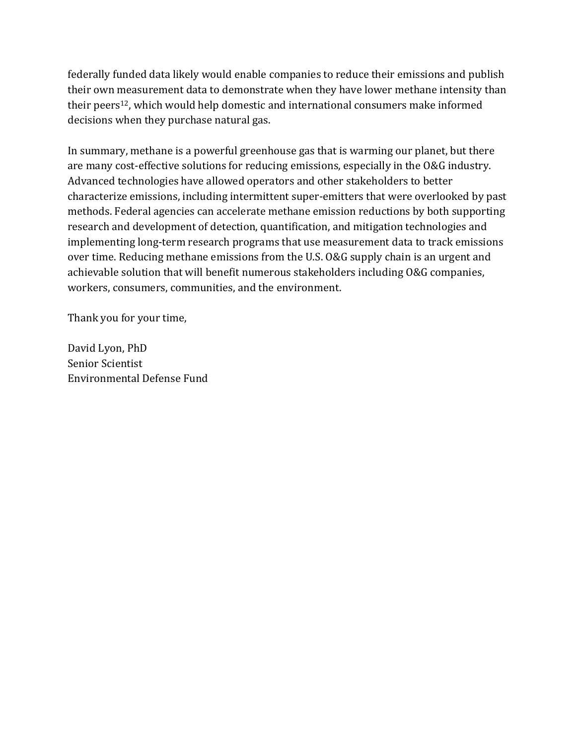federally funded data likely would enable companies to reduce their emissions and publish their own measurement data to demonstrate when they have lower methane intensity than their peers <sup>12</sup>, which would help domestic and international consumers make informed decisions when they purchase natural gas.

In summary, methane is a powerful greenhouse gas that is warming our planet, but there are many cost-effective solutions for reducing emissions, especially in the O&G industry. Advanced technologies have allowed operators and other stakeholders to better characterize emissions, including intermittent super-emitters that were overlooked by past methods. Federal agencies can accelerate methane emission reductions by both supporting research and development of detection, quantification, and mitigation technologies and implementing long-term research programs that use measurement data to track emissions over time. Reducing methane emissions from the U.S. O&G supply chain is an urgent and achievable solution that will benefit numerous stakeholders including O&G companies, workers, consumers, communities, and the environment.

Thank you for your time,

David Lyon, PhD Senior Scientist Environmental Defense Fund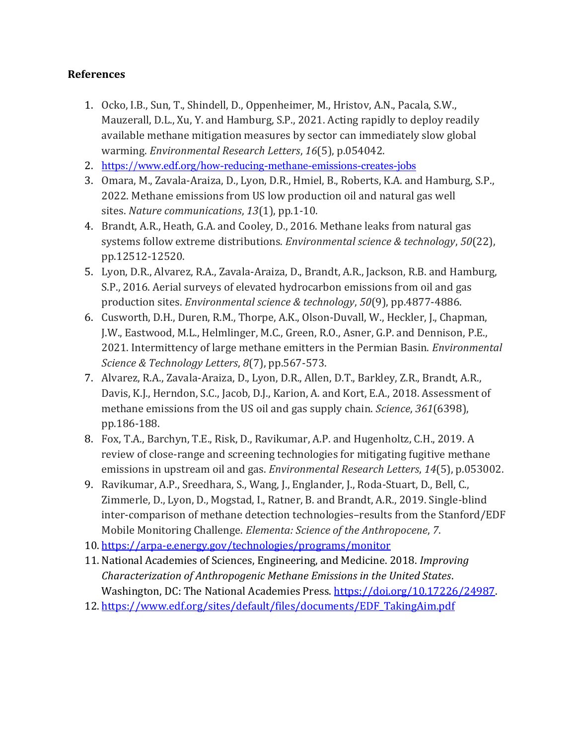# **References**

- 1. Ocko, I.B., Sun, T., Shindell, D., Oppenheimer, M., Hristov, A.N., Pacala, S.W., Mauzerall, D.L., Xu, Y. and Hamburg, S.P., 2021. Acting rapidly to deploy readily available methane mitigation measures by sector can immediately slow global warming. *Environmental Research Letters*, *16*(5), p.054042.
- 2. <https://www.edf.org/how-reducing-methane-emissions-creates-jobs>
- 3. Omara, M., Zavala-Araiza, D., Lyon, D.R., Hmiel, B., Roberts, K.A. and Hamburg, S.P., 2022. Methane emissions from US low production oil and natural gas well sites. *Nature communications*, *13*(1), pp.1-10.
- 4. Brandt, A.R., Heath, G.A. and Cooley, D., 2016. Methane leaks from natural gas systems follow extreme distributions. *Environmental science & technology*, *50*(22), pp.12512-12520.
- 5. Lyon, D.R., Alvarez, R.A., Zavala-Araiza, D., Brandt, A.R., Jackson, R.B. and Hamburg, S.P., 2016. Aerial surveys of elevated hydrocarbon emissions from oil and gas production sites. *Environmental science & technology*, *50*(9), pp.4877-4886.
- 6. Cusworth, D.H., Duren, R.M., Thorpe, A.K., Olson-Duvall, W., Heckler, J., Chapman, J.W., Eastwood, M.L., Helmlinger, M.C., Green, R.O., Asner, G.P. and Dennison, P.E., 2021. Intermittency of large methane emitters in the Permian Basin. *Environmental Science & Technology Letters*, *8*(7), pp.567-573.
- 7. Alvarez, R.A., Zavala-Araiza, D., Lyon, D.R., Allen, D.T., Barkley, Z.R., Brandt, A.R., Davis, K.J., Herndon, S.C., Jacob, D.J., Karion, A. and Kort, E.A., 2018. Assessment of methane emissions from the US oil and gas supply chain. *Science*, *361*(6398), pp.186-188.
- 8. Fox, T.A., Barchyn, T.E., Risk, D., Ravikumar, A.P. and Hugenholtz, C.H., 2019. A review of close-range and screening technologies for mitigating fugitive methane emissions in upstream oil and gas. *Environmental Research Letters*, *14*(5), p.053002.
- 9. Ravikumar, A.P., Sreedhara, S., Wang, J., Englander, J., Roda-Stuart, D., Bell, C., Zimmerle, D., Lyon, D., Mogstad, I., Ratner, B. and Brandt, A.R., 2019. Single-blind inter-comparison of methane detection technologies–results from the Stanford/EDF Mobile Monitoring Challenge. *Elementa: Science of the Anthropocene*, *7*.
- 10. <https://arpa-e.energy.gov/technologies/programs/monitor>
- 11. National Academies of Sciences, Engineering, and Medicine. 2018. *Improving Characterization of Anthropogenic Methane Emissions in the United States*. Washington, DC: The National Academies Press. [https://doi.org/10.17226/24987.](https://doi.org/10.17226/24987)
- 12. [https://www.edf.org/sites/default/files/documents/EDF\\_TakingAim.pdf](https://www.edf.org/sites/default/files/documents/EDF_TakingAim.pdf)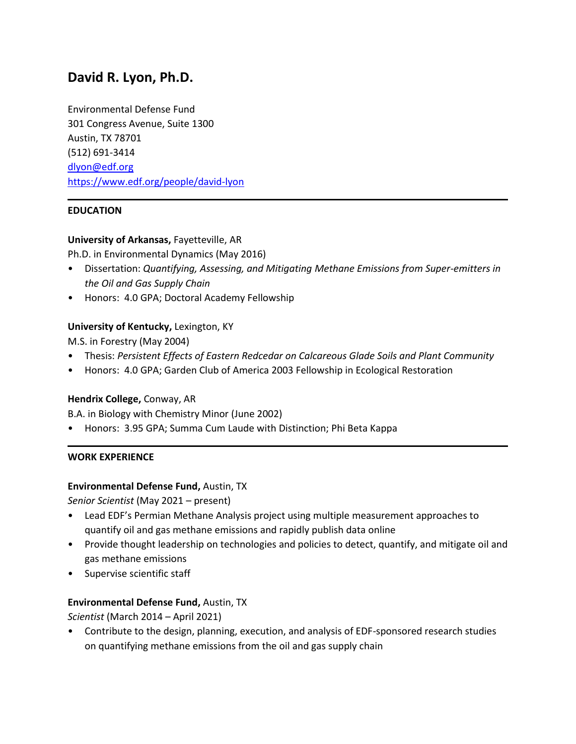# **David R. Lyon, Ph.D.**

Environmental Defense Fund 301 Congress Avenue, Suite 1300 Austin, TX 78701 (512) 691-3414 [dlyon@edf.org](mailto:dlyon@edf.org) <https://www.edf.org/people/david-lyon>

# **EDUCATION**

## **University of Arkansas,** Fayetteville, AR

Ph.D. in Environmental Dynamics (May 2016)

- Dissertation: *Quantifying, Assessing, and Mitigating Methane Emissions from Super-emitters in the Oil and Gas Supply Chain*
- Honors: 4.0 GPA; Doctoral Academy Fellowship

## **University of Kentucky,** Lexington, KY

M.S. in Forestry (May 2004)

- Thesis: *Persistent Effects of Eastern Redcedar on Calcareous Glade Soils and Plant Community*
- Honors: 4.0 GPA; Garden Club of America 2003 Fellowship in Ecological Restoration

## **Hendrix College,** Conway, AR

B.A. in Biology with Chemistry Minor (June 2002)

• Honors: 3.95 GPA; Summa Cum Laude with Distinction; Phi Beta Kappa

#### **WORK EXPERIENCE**

## **Environmental Defense Fund,** Austin, TX

*Senior Scientist* (May 2021 – present)

- Lead EDF's Permian Methane Analysis project using multiple measurement approaches to quantify oil and gas methane emissions and rapidly publish data online
- Provide thought leadership on technologies and policies to detect, quantify, and mitigate oil and gas methane emissions
- Supervise scientific staff

## **Environmental Defense Fund,** Austin, TX

*Scientist* (March 2014 – April 2021)

• Contribute to the design, planning, execution, and analysis of EDF-sponsored research studies on quantifying methane emissions from the oil and gas supply chain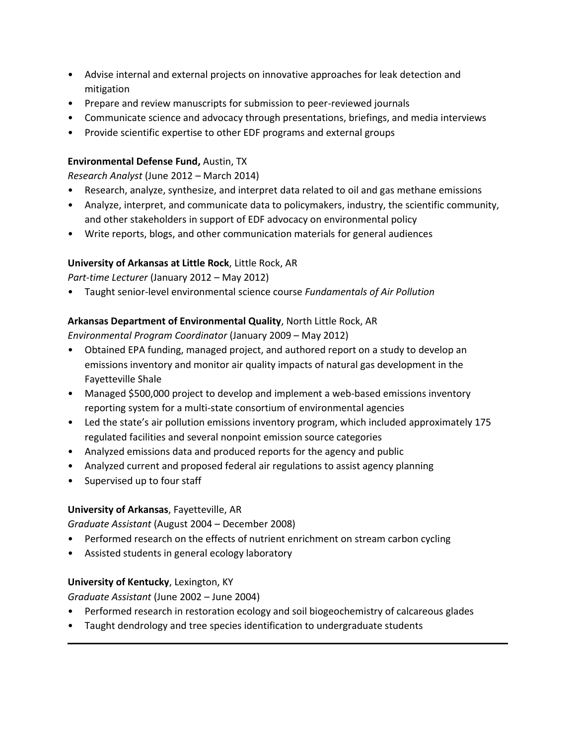- Advise internal and external projects on innovative approaches for leak detection and mitigation
- Prepare and review manuscripts for submission to peer-reviewed journals
- Communicate science and advocacy through presentations, briefings, and media interviews
- Provide scientific expertise to other EDF programs and external groups

## **Environmental Defense Fund,** Austin, TX

*Research Analyst* (June 2012 – March 2014)

- Research, analyze, synthesize, and interpret data related to oil and gas methane emissions
- Analyze, interpret, and communicate data to policymakers, industry, the scientific community, and other stakeholders in support of EDF advocacy on environmental policy
- Write reports, blogs, and other communication materials for general audiences

# **University of Arkansas at Little Rock**, Little Rock, AR

*Part-time Lecturer* (January 2012 – May 2012)

• Taught senior-level environmental science course *Fundamentals of Air Pollution*

# **Arkansas Department of Environmental Quality**, North Little Rock, AR

*Environmental Program Coordinator* (January 2009 – May 2012)

- Obtained EPA funding, managed project, and authored report on a study to develop an emissions inventory and monitor air quality impacts of natural gas development in the Fayetteville Shale
- Managed \$500,000 project to develop and implement a web-based emissions inventory reporting system for a multi-state consortium of environmental agencies
- Led the state's air pollution emissions inventory program, which included approximately 175 regulated facilities and several nonpoint emission source categories
- Analyzed emissions data and produced reports for the agency and public
- Analyzed current and proposed federal air regulations to assist agency planning
- Supervised up to four staff

# **University of Arkansas**, Fayetteville, AR

*Graduate Assistant* (August 2004 – December 2008)

- Performed research on the effects of nutrient enrichment on stream carbon cycling
- Assisted students in general ecology laboratory

## **University of Kentucky**, Lexington, KY

*Graduate Assistant* (June 2002 – June 2004)

- Performed research in restoration ecology and soil biogeochemistry of calcareous glades
- Taught dendrology and tree species identification to undergraduate students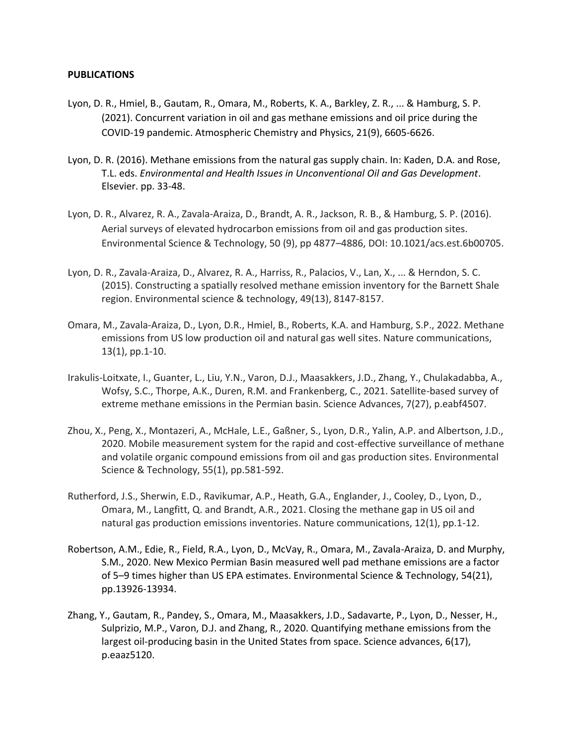#### **PUBLICATIONS**

- Lyon, D. R., Hmiel, B., Gautam, R., Omara, M., Roberts, K. A., Barkley, Z. R., ... & Hamburg, S. P. (2021). Concurrent variation in oil and gas methane emissions and oil price during the COVID-19 pandemic. Atmospheric Chemistry and Physics, 21(9), 6605-6626.
- Lyon, D. R. (2016). Methane emissions from the natural gas supply chain. In: Kaden, D.A. and Rose, T.L. eds. *Environmental and Health Issues in Unconventional Oil and Gas Development*. Elsevier. pp. 33-48.
- Lyon, D. R., Alvarez, R. A., Zavala-Araiza, D., Brandt, A. R., Jackson, R. B., & Hamburg, S. P. (2016). Aerial surveys of elevated hydrocarbon emissions from oil and gas production sites. Environmental Science & Technology, 50 (9), pp 4877–4886, DOI: 10.1021/acs.est.6b00705.
- Lyon, D. R., Zavala-Araiza, D., Alvarez, R. A., Harriss, R., Palacios, V., Lan, X., ... & Herndon, S. C. (2015). Constructing a spatially resolved methane emission inventory for the Barnett Shale region. Environmental science & technology, 49(13), 8147-8157.
- Omara, M., Zavala-Araiza, D., Lyon, D.R., Hmiel, B., Roberts, K.A. and Hamburg, S.P., 2022. Methane emissions from US low production oil and natural gas well sites. Nature communications, 13(1), pp.1-10.
- Irakulis-Loitxate, I., Guanter, L., Liu, Y.N., Varon, D.J., Maasakkers, J.D., Zhang, Y., Chulakadabba, A., Wofsy, S.C., Thorpe, A.K., Duren, R.M. and Frankenberg, C., 2021. Satellite-based survey of extreme methane emissions in the Permian basin. Science Advances, 7(27), p.eabf4507.
- Zhou, X., Peng, X., Montazeri, A., McHale, L.E., Gaßner, S., Lyon, D.R., Yalin, A.P. and Albertson, J.D., 2020. Mobile measurement system for the rapid and cost-effective surveillance of methane and volatile organic compound emissions from oil and gas production sites. Environmental Science & Technology, 55(1), pp.581-592.
- Rutherford, J.S., Sherwin, E.D., Ravikumar, A.P., Heath, G.A., Englander, J., Cooley, D., Lyon, D., Omara, M., Langfitt, Q. and Brandt, A.R., 2021. Closing the methane gap in US oil and natural gas production emissions inventories. Nature communications, 12(1), pp.1-12.
- Robertson, A.M., Edie, R., Field, R.A., Lyon, D., McVay, R., Omara, M., Zavala-Araiza, D. and Murphy, S.M., 2020. New Mexico Permian Basin measured well pad methane emissions are a factor of 5–9 times higher than US EPA estimates. Environmental Science & Technology, 54(21), pp.13926-13934.
- Zhang, Y., Gautam, R., Pandey, S., Omara, M., Maasakkers, J.D., Sadavarte, P., Lyon, D., Nesser, H., Sulprizio, M.P., Varon, D.J. and Zhang, R., 2020. Quantifying methane emissions from the largest oil-producing basin in the United States from space. Science advances, 6(17), p.eaaz5120.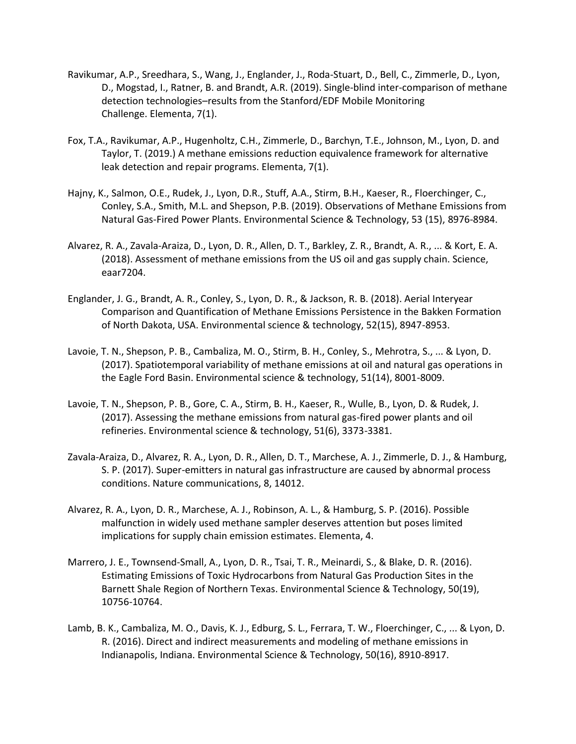- Ravikumar, A.P., Sreedhara, S., Wang, J., Englander, J., Roda-Stuart, D., Bell, C., Zimmerle, D., Lyon, D., Mogstad, I., Ratner, B. and Brandt, A.R. (2019). Single-blind inter-comparison of methane detection technologies–results from the Stanford/EDF Mobile Monitoring Challenge. Elementa, 7(1).
- Fox, T.A., Ravikumar, A.P., Hugenholtz, C.H., Zimmerle, D., Barchyn, T.E., Johnson, M., Lyon, D. and Taylor, T. (2019.) A methane emissions reduction equivalence framework for alternative leak detection and repair programs. Elementa, 7(1).
- Hajny, K., Salmon, O.E., Rudek, J., Lyon, D.R., Stuff, A.A., Stirm, B.H., Kaeser, R., Floerchinger, C., Conley, S.A., Smith, M.L. and Shepson, P.B. (2019). Observations of Methane Emissions from Natural Gas-Fired Power Plants. Environmental Science & Technology, 53 (15), 8976-8984.
- Alvarez, R. A., Zavala-Araiza, D., Lyon, D. R., Allen, D. T., Barkley, Z. R., Brandt, A. R., ... & Kort, E. A. (2018). Assessment of methane emissions from the US oil and gas supply chain. Science, eaar7204.
- Englander, J. G., Brandt, A. R., Conley, S., Lyon, D. R., & Jackson, R. B. (2018). Aerial Interyear Comparison and Quantification of Methane Emissions Persistence in the Bakken Formation of North Dakota, USA. Environmental science & technology, 52(15), 8947-8953.
- Lavoie, T. N., Shepson, P. B., Cambaliza, M. O., Stirm, B. H., Conley, S., Mehrotra, S., ... & Lyon, D. (2017). Spatiotemporal variability of methane emissions at oil and natural gas operations in the Eagle Ford Basin. Environmental science & technology, 51(14), 8001-8009.
- Lavoie, T. N., Shepson, P. B., Gore, C. A., Stirm, B. H., Kaeser, R., Wulle, B., Lyon, D. & Rudek, J. (2017). Assessing the methane emissions from natural gas-fired power plants and oil refineries. Environmental science & technology, 51(6), 3373-3381.
- Zavala-Araiza, D., Alvarez, R. A., Lyon, D. R., Allen, D. T., Marchese, A. J., Zimmerle, D. J., & Hamburg, S. P. (2017). Super-emitters in natural gas infrastructure are caused by abnormal process conditions. Nature communications, 8, 14012.
- Alvarez, R. A., Lyon, D. R., Marchese, A. J., Robinson, A. L., & Hamburg, S. P. (2016). Possible malfunction in widely used methane sampler deserves attention but poses limited implications for supply chain emission estimates. Elementa, 4.
- Marrero, J. E., Townsend-Small, A., Lyon, D. R., Tsai, T. R., Meinardi, S., & Blake, D. R. (2016). Estimating Emissions of Toxic Hydrocarbons from Natural Gas Production Sites in the Barnett Shale Region of Northern Texas. Environmental Science & Technology, 50(19), 10756-10764.
- Lamb, B. K., Cambaliza, M. O., Davis, K. J., Edburg, S. L., Ferrara, T. W., Floerchinger, C., ... & Lyon, D. R. (2016). Direct and indirect measurements and modeling of methane emissions in Indianapolis, Indiana. Environmental Science & Technology, 50(16), 8910-8917.